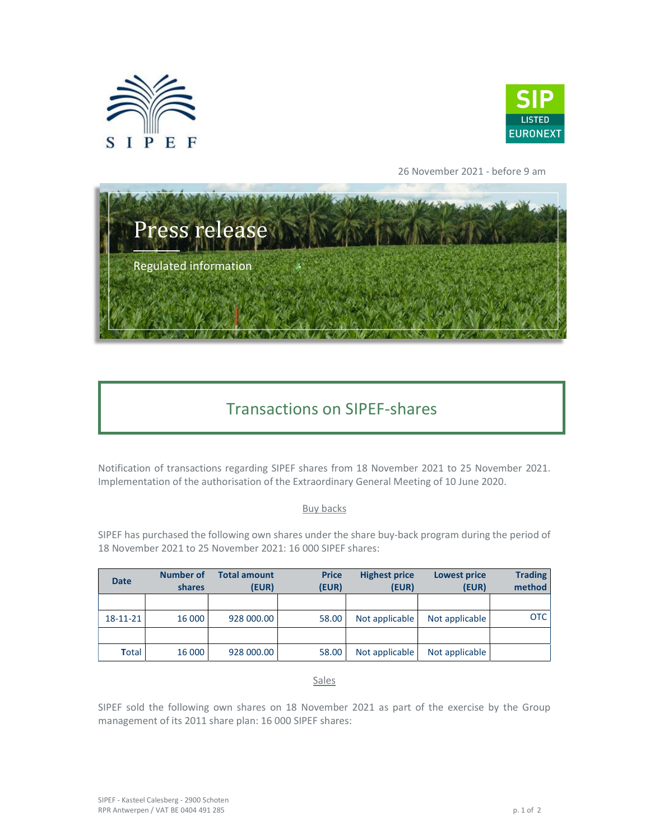



26 November 2021 - before 9 am



## Transactions on SIPEF-shares

Notification of transactions regarding SIPEF shares from 18 November 2021 to 25 November 2021. Implementation of the authorisation of the Extraordinary General Meeting of 10 June 2020.

## Buy backs

SIPEF has purchased the following own shares under the share buy-back program during the period of 18 November 2021 to 25 November 2021: 16 000 SIPEF shares:

| <b>Date</b>    | Number of<br>shares | <b>Total amount</b><br>(EUR) | <b>Price</b><br>(EUR) | <b>Highest price</b><br>(EUR) | <b>Lowest price</b><br>(EUR) | <b>Trading</b><br>method |
|----------------|---------------------|------------------------------|-----------------------|-------------------------------|------------------------------|--------------------------|
|                |                     |                              |                       |                               |                              |                          |
| $18 - 11 - 21$ | 16 000              | 928 000.00                   | 58.00                 | Not applicable                | Not applicable               | <b>OTC</b>               |
|                |                     |                              |                       |                               |                              |                          |
| Total          | 16 000              | 928 000.00                   | 58.00                 | Not applicable                | Not applicable               |                          |

Sales

SIPEF sold the following own shares on 18 November 2021 as part of the exercise by the Group management of its 2011 share plan: 16 000 SIPEF shares: